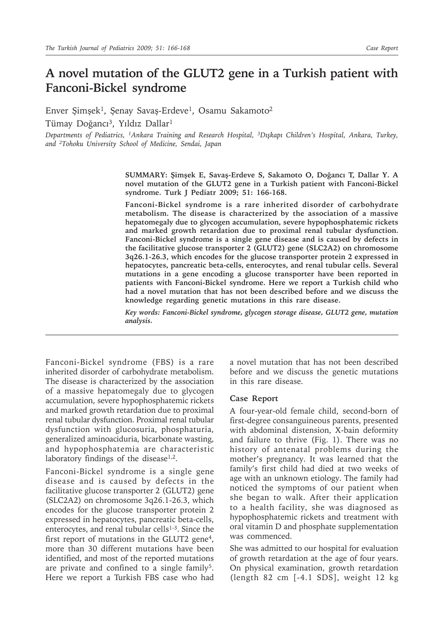## **A novel mutation of the GLUT2 gene in a Turkish patient with Fanconi-Bickel syndrome**

Enver Şimşek<sup>1</sup>, Şenay Savaş-Erdeve<sup>1</sup>, Osamu Sakamoto<sup>2</sup>

Tümay Doğancı<sup>3</sup>, Yıldız Dallar<sup>1</sup>

*Departments of Pediatrics, 1Ankara Training and Research Hospital, 3Dışkapı Children's Hospital, Ankara, Turkey, and 2Tohoku University School of Medicine, Sendai, Japan*

> **SUMMARY: Şimşek E, Savaş-Erdeve S, Sakamoto O, Doğancı T, Dallar Y. A novel mutation of the GLUT2 gene in a Turkish patient with Fanconi-Bickel syndrome. Turk J Pediatr 2009; 51: 166-168.**

> **Fanconi-Bickel syndrome is a rare inherited disorder of carbohydrate metabolism. The disease is characterized by the association of a massive hepatomegaly due to glycogen accumulation, severe hypophosphatemic rickets and marked growth retardation due to proximal renal tubular dysfunction. Fanconi-Bickel syndrome is a single gene disease and is caused by defects in the facilitative glucose transporter 2 (GLUT2) gene (SLC2A2) on chromosome 3q26.1-26.3, which encodes for the glucose transporter protein 2 expressed in hepatocytes, pancreatic beta-cells, enterocytes, and renal tubular cells. Several mutations in a gene encoding a glucose transporter have been reported in patients with Fanconi-Bickel syndrome. Here we report a Turkish child who had a novel mutation that has not been described before and we discuss the knowledge regarding genetic mutations in this rare disease.**

> *Key words: Fanconi-Bickel syndrome, glycogen storage disease, GLUT2 gene, mutation analysis.*

Fanconi-Bickel syndrome (FBS) is a rare inherited disorder of carbohydrate metabolism. The disease is characterized by the association of a massive hepatomegaly due to glycogen accumulation, severe hypophosphatemic rickets and marked growth retardation due to proximal renal tubular dysfunction. Proximal renal tubular dysfunction with glucosuria, phosphaturia, generalized aminoaciduria, bicarbonate wasting, and hypophosphatemia are characteristic laboratory findings of the disease $1,2$ .

Fanconi-Bickel syndrome is a single gene disease and is caused by defects in the facilitative glucose transporter 2 (GLUT2) gene (SLC2A2) on chromosome 3q26.1-26.3, which encodes for the glucose transporter protein 2 expressed in hepatocytes, pancreatic beta-cells, enterocytes, and renal tubular cells<sup>1-3</sup>. Since the first report of mutations in the GLUT2 gene<sup>4</sup>, more than 30 different mutations have been identified, and most of the reported mutations are private and confined to a single family<sup>5</sup>. Here we report a Turkish FBS case who had

a novel mutation that has not been described before and we discuss the genetic mutations in this rare disease.

## **Case Report**

A four-year-old female child, second-born of first-degree consanguineous parents, presented with abdominal distension, X-bain deformity and failure to thrive (Fig. 1). There was no history of antenatal problems during the mother's pregnancy. It was learned that the family's first child had died at two weeks of age with an unknown etiology. The family had noticed the symptoms of our patient when she began to walk. After their application to a health facility, she was diagnosed as hypophosphatemic rickets and treatment with oral vitamin D and phosphate supplementation was commenced.

She was admitted to our hospital for evaluation of growth retardation at the age of four years. On physical examination, growth retardation (length 82 cm [-4.1 SDS], weight 12 kg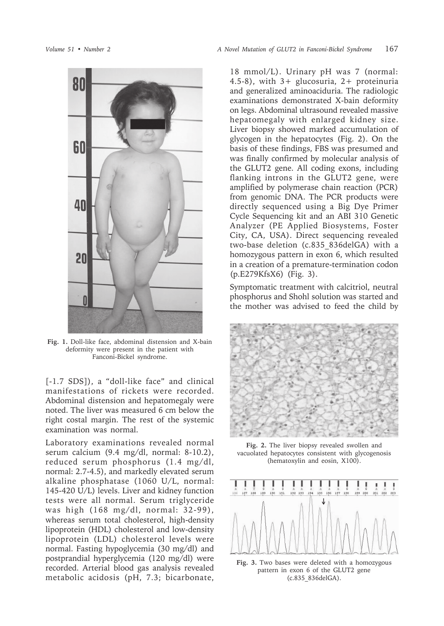

**Fig. 1.** Doll-like face, abdominal distension and X-bain deformity were present in the patient with Fanconi-Bickel syndrome.

[-1.7 SDS]), a "doll-like face" and clinical manifestations of rickets were recorded. Abdominal distension and hepatomegaly were noted. The liver was measured 6 cm below the right costal margin. The rest of the systemic examination was normal.

Laboratory examinations revealed normal serum calcium (9.4 mg/dl, normal: 8-10.2), reduced serum phosphorus (1.4 mg/dl, normal: 2.7-4.5), and markedly elevated serum alkaline phosphatase (1060 U/L, normal: 145-420 U/L) levels. Liver and kidney function tests were all normal. Serum triglyceride was high (168 mg/dl, normal: 32-99), whereas serum total cholesterol, high-density lipoprotein (HDL) cholesterol and low-density lipoprotein (LDL) cholesterol levels were normal. Fasting hypoglycemia (30 mg/dl) and postprandial hyperglycemia (120 mg/dl) were recorded. Arterial blood gas analysis revealed metabolic acidosis (pH, 7.3; bicarbonate,

18 mmol/L). Urinary pH was 7 (normal: 4.5-8), with 3+ glucosuria, 2+ proteinuria and generalized aminoaciduria. The radiologic examinations demonstrated X-bain deformity on legs. Abdominal ultrasound revealed massive hepatomegaly with enlarged kidney size. Liver biopsy showed marked accumulation of glycogen in the hepatocytes (Fig. 2). On the basis of these findings, FBS was presumed and was finally confirmed by molecular analysis of the GLUT2 gene. All coding exons, including flanking introns in the GLUT2 gene, were amplified by polymerase chain reaction (PCR) from genomic DNA. The PCR products were directly sequenced using a Big Dye Primer Cycle Sequencing kit and an ABI 310 Genetic Analyzer (PE Applied Biosystems, Foster City, CA, USA). Direct sequencing revealed two-base deletion (c.835\_836delGA) with a homozygous pattern in exon 6, which resulted in a creation of a premature-termination codon (p.E279KfsX6) (Fig. 3).

Symptomatic treatment with calcitriol, neutral phosphorus and Shohl solution was started and the mother was advised to feed the child by



**Fig. 2.** The liver biopsy revealed swollen and vacuolated hepatocytes consistent with glycogenosis (hematoxylin and eosin, X100).